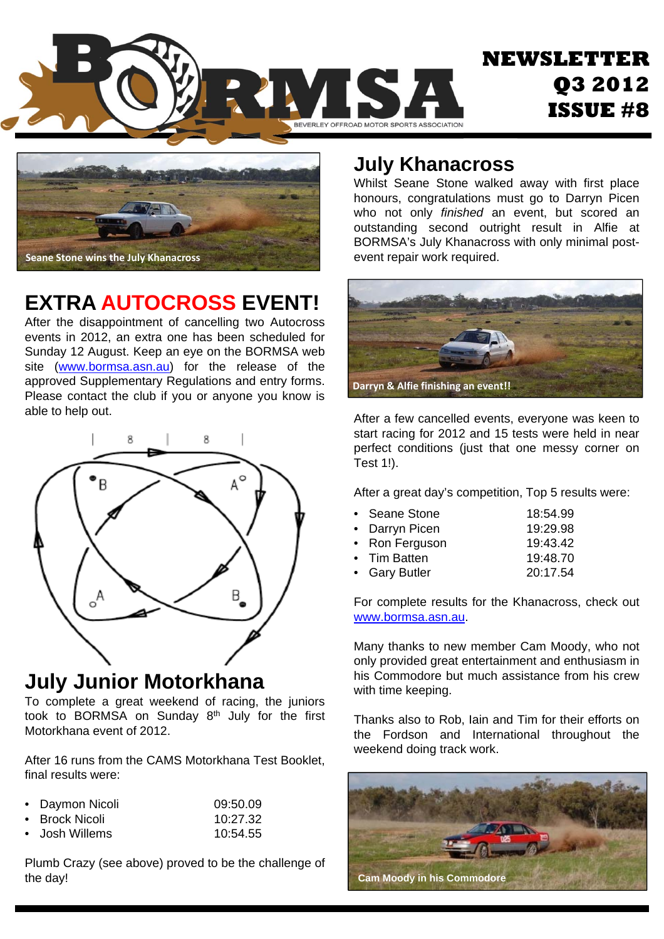



### **EXTRA AUTOCROSS EVENT!**

After the disappointment of cancelling two Autocross events in 2012, an extra one has been scheduled for Sunday 12 August. Keep an eye on the BORMSA web site (www.bormsa.asn.au) for the release of the approved Supplementary Regulations and entry forms. Please contact the club if you or anyone you know is able to help out.



#### **July Junior Motorkhana**

**Motorkhana event of 2012.** To complete a great weekend of racing, the juniors took to BORMSA on Sunday 8th July for the first

After 16 runs from the CAMS Motorkhana Test Booklet, final results were:

| • Daymon Nicoli | 09:50.09 |
|-----------------|----------|
| ∙ Brock Nicoli  | 10:27.32 |

• Josh Willems 10:54.55

Plumb Crazy (see above) proved to be the challenge of the day!

#### **July Khanacross**

Whilst Seane Stone walked away with first place honours, congratulations must go to Darryn Picen who not only *finished* an event, but scored an outstanding second outright result in Alfie at BORMSA's July Khanacross with only minimal postevent repair work required.



After a few cancelled events, everyone was keen to start racing for 2012 and 15 tests were held in near perfect conditions (just that one messy corner on Test 1!).

After a great day's competition, Top 5 results were:

| • Seane Stone  | 18:54.99 |
|----------------|----------|
| • Darryn Picen | 19:29.98 |
| • Ron Ferguson | 19:43.42 |
| • Tim Batten   | 19:48.70 |
| • Gary Butler  | 20:17.54 |

For complete results for the Khanacross, check out www.bormsa.asn.au.

Many thanks to new member Cam Moody, who not only provided great entertainment and enthusiasm in his Commodore but much assistance from his crew with time keeping.

Thanks also to Rob, Iain and Tim for their efforts on the Fordson and International throughout the weekend doing track work.